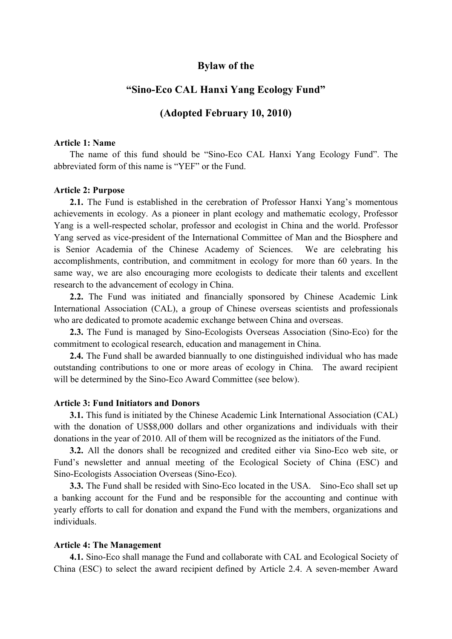## **Bylaw of the**

# **"Sino-Eco CAL Hanxi Yang Ecology Fund"**

## **(Adopted February 10, 2010)**

#### **Article 1: Name**

The name of this fund should be "Sino-Eco CAL Hanxi Yang Ecology Fund". The abbreviated form of this name is "YEF" or the Fund.

### **Article 2: Purpose**

**2.1.** The Fund is established in the cerebration of Professor Hanxi Yang's momentous achievements in ecology. As a pioneer in plant ecology and mathematic ecology, Professor Yang is a well-respected scholar, professor and ecologist in China and the world. Professor Yang served as vice-president of the International Committee of Man and the Biosphere and is Senior Academia of the Chinese Academy of Sciences. We are celebrating his accomplishments, contribution, and commitment in ecology for more than 60 years. In the same way, we are also encouraging more ecologists to dedicate their talents and excellent research to the advancement of ecology in China.

**2.2.** The Fund was initiated and financially sponsored by Chinese Academic Link International Association (CAL), a group of Chinese overseas scientists and professionals who are dedicated to promote academic exchange between China and overseas.

**2.3.** The Fund is managed by Sino-Ecologists Overseas Association (Sino-Eco) for the commitment to ecological research, education and management in China.

**2.4.** The Fund shall be awarded biannually to one distinguished individual who has made outstanding contributions to one or more areas of ecology in China. The award recipient will be determined by the Sino-Eco Award Committee (see below).

#### **Article 3: Fund Initiators and Donors**

**3.1.** This fund is initiated by the Chinese Academic Link International Association (CAL) with the donation of US\$8,000 dollars and other organizations and individuals with their donations in the year of 2010. All of them will be recognized as the initiators of the Fund.

**3.2.** All the donors shall be recognized and credited either via Sino-Eco web site, or Fund's newsletter and annual meeting of the Ecological Society of China (ESC) and Sino-Ecologists Association Overseas (Sino-Eco).

**3.3.** The Fund shall be resided with Sino-Eco located in the USA. Sino-Eco shall set up a banking account for the Fund and be responsible for the accounting and continue with yearly efforts to call for donation and expand the Fund with the members, organizations and individuals.

#### **Article 4: The Management**

**4.1.** Sino-Eco shall manage the Fund and collaborate with CAL and Ecological Society of China (ESC) to select the award recipient defined by Article 2.4. A seven-member Award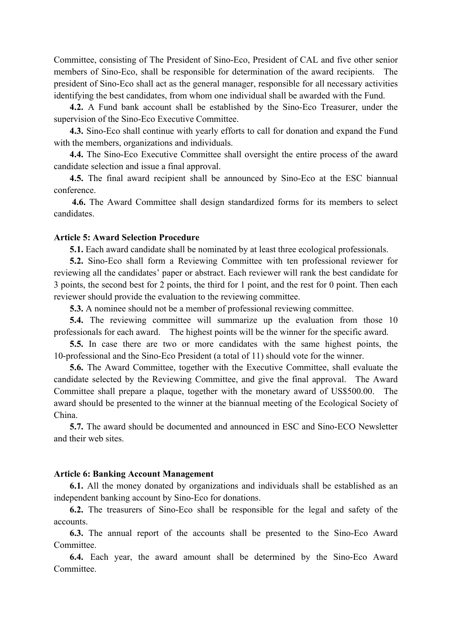Committee, consisting of The President of Sino-Eco, President of CAL and five other senior members of Sino-Eco, shall be responsible for determination of the award recipients. The president of Sino-Eco shall act as the general manager, responsible for all necessary activities identifying the best candidates, from whom one individual shall be awarded with the Fund.

**4.2.** A Fund bank account shall be established by the Sino-Eco Treasurer, under the supervision of the Sino-Eco Executive Committee.

**4.3.** Sino-Eco shall continue with yearly efforts to call for donation and expand the Fund with the members, organizations and individuals.

**4.4.** The Sino-Eco Executive Committee shall oversight the entire process of the award candidate selection and issue a final approval.

**4.5.** The final award recipient shall be announced by Sino-Eco at the ESC biannual conference.

 **4.6.** The Award Committee shall design standardized forms for its members to select candidates.

### **Article 5: Award Selection Procedure**

**5.1.** Each award candidate shall be nominated by at least three ecological professionals.

**5.2.** Sino-Eco shall form a Reviewing Committee with ten professional reviewer for reviewing all the candidates' paper or abstract. Each reviewer will rank the best candidate for 3 points, the second best for 2 points, the third for 1 point, and the rest for 0 point. Then each reviewer should provide the evaluation to the reviewing committee.

**5.3.** A nominee should not be a member of professional reviewing committee.

**5.4.** The reviewing committee will summarize up the evaluation from those 10 professionals for each award. The highest points will be the winner for the specific award.

**5.5.** In case there are two or more candidates with the same highest points, the 10-professional and the Sino-Eco President (a total of 11) should vote for the winner.

**5.6.** The Award Committee, together with the Executive Committee, shall evaluate the candidate selected by the Reviewing Committee, and give the final approval. The Award Committee shall prepare a plaque, together with the monetary award of US\$500.00. The award should be presented to the winner at the biannual meeting of the Ecological Society of China.

**5.7.** The award should be documented and announced in ESC and Sino-ECO Newsletter and their web sites.

#### **Article 6: Banking Account Management**

**6.1.** All the money donated by organizations and individuals shall be established as an independent banking account by Sino-Eco for donations.

**6.2.** The treasurers of Sino-Eco shall be responsible for the legal and safety of the accounts.

**6.3.** The annual report of the accounts shall be presented to the Sino-Eco Award Committee.

**6.4.** Each year, the award amount shall be determined by the Sino-Eco Award **Committee**